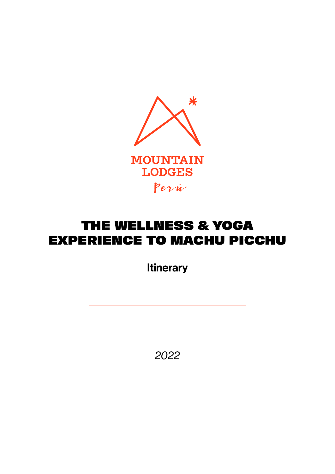

## THE WELLNESS & YOGA EXPERIENCE TO MACHU PICCHU

**Itinerary** 

*2022*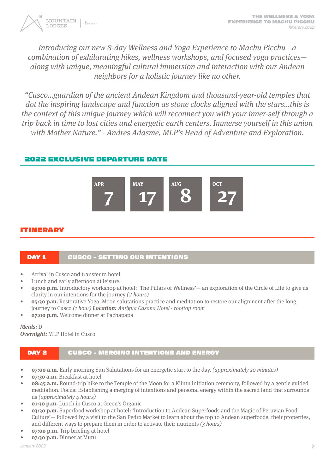

Introducing our new 8-day Wellness and Yoga Experience to Machu Picchu—a combination of exhilarating hikes, wellness workshops, and focused yoga practices along with unique, meaningful cultural immersion and interaction with our Andean neighbors for a holistic journey like no other.

"Cusco…guardian of the ancient Andean Kingdom and thousand-year-old temples that dot the inspiring landscape and function as stone clocks aligned with the stars...this is the context of this unique journey which will reconnect you with your inner-self through a trip back in time to lost cities and energetic earth centers. Immerse yourself in this union with Mother Nature." - Andres Adasme, MLP's Head of Adventure and Exploration.

## 2022 EXCLUSIVE DEPARTURE DATE



## ITINERARY

## DAY 1 CUSCO - SETTING OUR INTENTIONS

- Arrival in Cusco and transfer to hotel
- Lunch and early afternoon at leisure.
- **• 03:00 p.m.** Introductory workshop at hotel: 'The Pillars of Wellness'— an exploration of the Circle of Life to give us clarity in our intentions for the journey (2 hours)
- **• 05:30 p.m.** Restorative Yoga. Moon salutations practice and meditation to restore our alignment after the long journey to Cusco (1 hour) **Location:** Antigua Casona Hotel - rooftop room
- **• 07:00 p.m.** Welcome dinner at Pachapapa

**Meals:** D **Overnight:** MLP Hotel in Cusco

## DAY 2 CUSCO - MERGING INTENTIONS AND ENERGY

- **• 07:00 a.m.** Early morning Sun Salutations for an energetic start to the day. (approximately 20 minutes)
- **• 07:30 a.m.** Breakfast at hotel
- **• 08:45 a.m.** Round-trip hike to the Temple of the Moon for a K'intu initiation ceremony, followed by a gentle guided meditation. Focus: Establishing a merging of intentions and personal energy within the sacred land that surrounds us (approximately 4 hours)
- **• 01:30 p.m.** Lunch in Cusco at Green's Organic
- **• 03:30 p.m.** Superfood workshop at hotel: 'Introduction to Andean Superfoods and the Magic of Peruvian Food Culture'— followed by a visit to the San Pedro Market to learn about the top 10 Andean superfoods, their properties, and different ways to prepare them in order to activate their nutrients (3 hours)
- **• 07:00 p.m.** Trip briefing at hotel
- **• 07:30 p.m.** Dinner at Mutu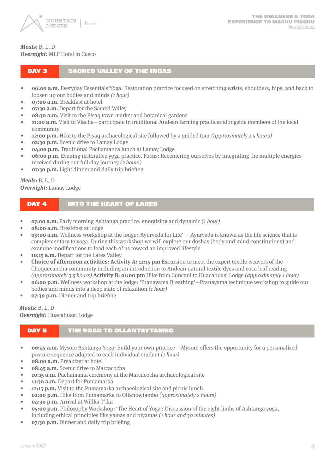

#### **Meals:** B, L, D **Overnight:** MLP Hotel in Cusco

#### DAY 3 SACRED VALLEY OF THE INCAS

- **• 06:00 a.m.** Everyday Essentials Yoga: Restoration practice focused on stretching wrists, shoulders, hips, and back to loosen up our bodies and minds (1 hour)
- **• 07:00 a.m.** Breakfast at hotel
- **07:30 a.m.** Depart for the Sacred Valley
- **08:30 a.m.** Visit to the Pisaq town market and botanical gardens
- **• 11:00 a.m.** Visit to Viacha—participate in traditional Andean farming practices alongside members of the local community
- **12:00 p.m.** Hike to the Pisag archaeological site followed by a guided tour *(approximately 2.5 hours)*
- **• 02:30 p.m.** Scenic drive to Lamay Lodge
- **• 04:00 p.m.** Traditional Pachamanca lunch at Lamay Lodge
- **• 06:00 p.m.** Evening restorative yoga practice. Focus: Recentering ourselves by integrating the multiple energies received during our full-day journey (2 hours)
- **• 07:30 p.m.** Light dinner and daily trip briefing

#### **Meals:** B, L, D **Overnight:** Lamay Lodge

#### DAY 4 INTO THE HEART OF LARES

- **07:00 a.m.** Early morning Ashtanga practice: energizing and dynamic (1 hour)
- **• 08:00 a.m.** Breakfast at lodge
- **• 09:00 a.m.** Wellness workshop at the lodge: 'Ayurveda for Life' Ayurveda is known as the life science that is complementary to yoga. During this workshop we will explore our doshas (body and mind constitutions) and examine modifications to lead each of us toward an improved lifestyle
- **• 10:15 a.m.** Depart for the Lares Valley
- **• Choice of afternoon activities: Activity A: 12:15 pm** Excursion to meet the expert textile weavers of the Choquecancha community including an introduction to Andean natural textile dyes and coca leaf reading (approximately 3.5 hours) **Activity B: 01:00 pm** Hike from Cuncani to Huacahuasi Lodge (approximately 1 hour)
- **• 06:00 p.m.** Wellness workshop at the lodge: 'Pranayama Breathing'—Pranayama technique workshop to guide our bodies and minds into a deep state of relaxation (1 hour)
- **• 07:30 p.m.** Dinner and trip briefing

**Meals:** B, L, D **Overnight:** Huacahuasi Lodge

#### DAY 5 THE ROAD TO OLLANTAYTAMBO

- **• 06:45 a.m.** Mysore Ashtanga Yoga: Build your own practice— Mysore offers the opportunity for a personalized posture sequence adapted to each individual student (1 hour)
- **• 08:00 a.m.** Breakfast at hotel
- **• 08:45 a.m.** Scenic drive to Marcacocha
- **• 10:15 a.m.** Pachamama ceremony at the Marcacocha archaeological site
- **• 11:30 a.m.** Depart for Pumamarka
- **• 12:15 p.m.** Visit to the Pumamarka archaeological site and picnic lunch
- **02:00 p.m.** Hike from Pumamarka to Ollantaytambo *(approximately 2 hours)*
- **• 04:30 p.m.** Arrival at Willka T'ika
- **• 05:00 p.m.** Philosophy Workshop: 'The Heart of Yoga': Discussion of the eight limbs of Ashtanga yoga, including ethical principles like yamas and niyamas (1 hour and 30 minutes)
- **• 07:30 p.m.** Dinner and daily trip briefing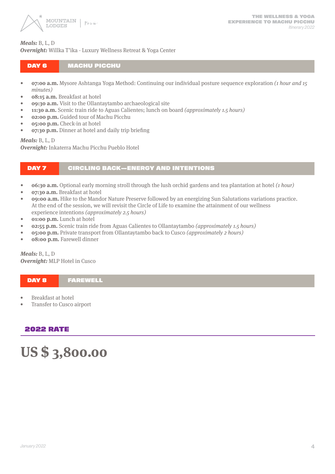

#### **Meals:** B, L, D

**Overnight:** Willka T'ika - Luxury Wellness Retreat & Yoga Center

#### DAY 6 MACHU PICCHU

- **• 07:00 a.m.** Mysore Ashtanga Yoga Method: Continuing our individual posture sequence exploration (1 hour and 15 minutes)
- **• 08:15 a.m.** Breakfast at hotel
- **• 09:30 a.m.** Visit to the Ollantaytambo archaeological site
- **• 11:30 a.m.** Scenic train ride to Aguas Calientes; lunch on board (approximately 1.5 hours)
- **• 02:00 p.m.** Guided tour of Machu Picchu
- **• 05:00 p.m.** Check-in at hotel
- **• 07:30 p.m.** Dinner at hotel and daily trip briefing

#### **Meals:** B, L, D

**Overnight:** Inkaterra Machu Picchu Pueblo Hotel

#### DAY 7 CIRCLING BACK—ENERGY AND INTENTIONS

- **06:30 a.m.** Optional early morning stroll through the lush orchid gardens and tea plantation at hotel (1 hour)
- **• 07:30 a.m.** Breakfast at hotel
- **• 09:00 a.m.** Hike to the Mandor Nature Preserve followed by an energizing Sun Salutations variations practice. At the end of the session, we will revisit the Circle of Life to examine the attainment of our wellness experience intentions (approximately 2.5 hours)
- **• 01:00 p.m.** Lunch at hotel
- **• 02:55 p.m.** Scenic train ride from Aguas Calientes to Ollantaytambo (approximately 1.5 hours)
- **• 05:00 p.m.** Private transport from Ollantaytambo back to Cusco (approximately 2 hours)
- **• 08:00 p.m.** Farewell dinner

**Meals:** B, L, D **Overnight:** MLP Hotel in Cusco

DAY 8 FAREWELL

- Breakfast at hotel
- Transfer to Cusco airport

#### 2022 RATE

# **US \$ 3,800.00**